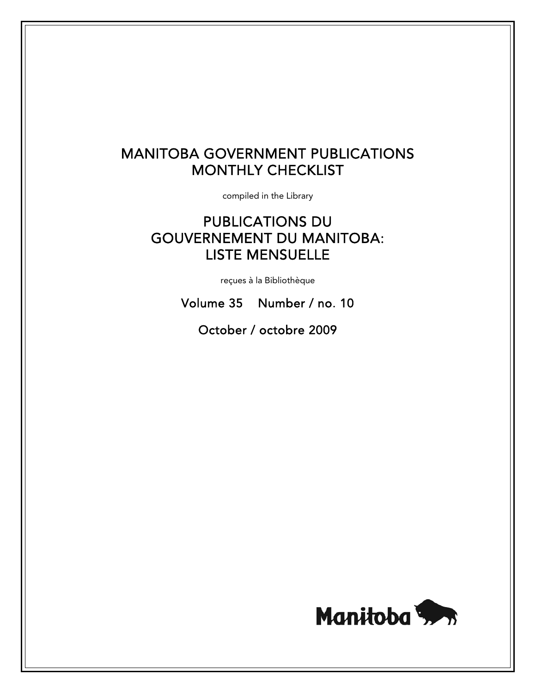# MANITOBA GOVERNMENT PUBLICATIONS MONTHLY CHECKLIST

compiled in the Library

# PUBLICATIONS DU GOUVERNEMENT DU MANITOBA: LISTE MENSUELLE

reçues à la Bibliothèque

Volume 35 Number / no. 10

October / octobre 2009

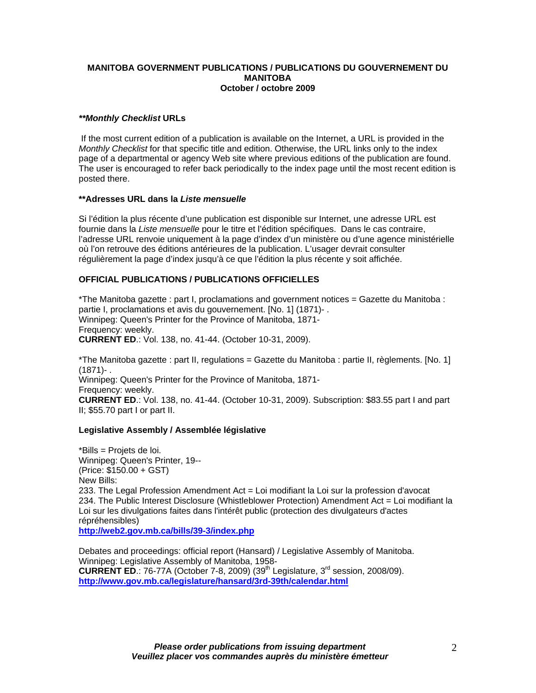### **MANITOBA GOVERNMENT PUBLICATIONS / PUBLICATIONS DU GOUVERNEMENT DU MANITOBA October / octobre 2009**

# *\*\*Monthly Checklist* **URLs**

 If the most current edition of a publication is available on the Internet, a URL is provided in the *Monthly Checklist* for that specific title and edition. Otherwise, the URL links only to the index page of a departmental or agency Web site where previous editions of the publication are found. The user is encouraged to refer back periodically to the index page until the most recent edition is posted there.

#### **\*\*Adresses URL dans la** *Liste mensuelle*

Si l'édition la plus récente d'une publication est disponible sur Internet, une adresse URL est fournie dans la *Liste mensuelle* pour le titre et l'édition spécifiques. Dans le cas contraire, l'adresse URL renvoie uniquement à la page d'index d'un ministère ou d'une agence ministérielle où l'on retrouve des éditions antérieures de la publication. L'usager devrait consulter régulièrement la page d'index jusqu'à ce que l'édition la plus récente y soit affichée.

# **OFFICIAL PUBLICATIONS / PUBLICATIONS OFFICIELLES**

\*The Manitoba gazette : part I, proclamations and government notices = Gazette du Manitoba : partie I, proclamations et avis du gouvernement. [No. 1] (1871)- . Winnipeg: Queen's Printer for the Province of Manitoba, 1871- Frequency: weekly. **CURRENT ED**.: Vol. 138, no. 41-44. (October 10-31, 2009).

\*The Manitoba gazette : part II, regulations = Gazette du Manitoba : partie II, règlements. [No. 1]  $(1871) -$ . Winnipeg: Queen's Printer for the Province of Manitoba, 1871- Frequency: weekly. **CURRENT ED**.: Vol. 138, no. 41-44. (October 10-31, 2009). Subscription: \$83.55 part I and part II; \$55.70 part I or part II.

#### **Legislative Assembly / Assemblée législative**

\*Bills = Projets de loi. Winnipeg: Queen's Printer, 19-- (Price: \$150.00 + GST) New Bills: 233. The Legal Profession Amendment Act = Loi modifiant la Loi sur la profession d'avocat 234. The Public Interest Disclosure (Whistleblower Protection) Amendment Act = Loi modifiant la Loi sur les divulgations faites dans l'intérêt public (protection des divulgateurs d'actes répréhensibles) **[http://web2.gov.mb.ca/bills/39-3/index.php](https://web2.gov.mb.ca/bills/39-3/index.php)**

Debates and proceedings: official report (Hansard) / Legislative Assembly of Manitoba. Winnipeg: Legislative Assembly of Manitoba, 1958- **CURRENT ED.:** 76-77A (October 7-8, 2009) (39<sup>th</sup> Legislature, 3<sup>rd</sup> session, 2008/09). **[http://www.gov.mb.ca/legislature/hansard/3rd-39th/calendar.html](https://www.gov.mb.ca/legislature/hansard/3rd-39th/calendar.html)**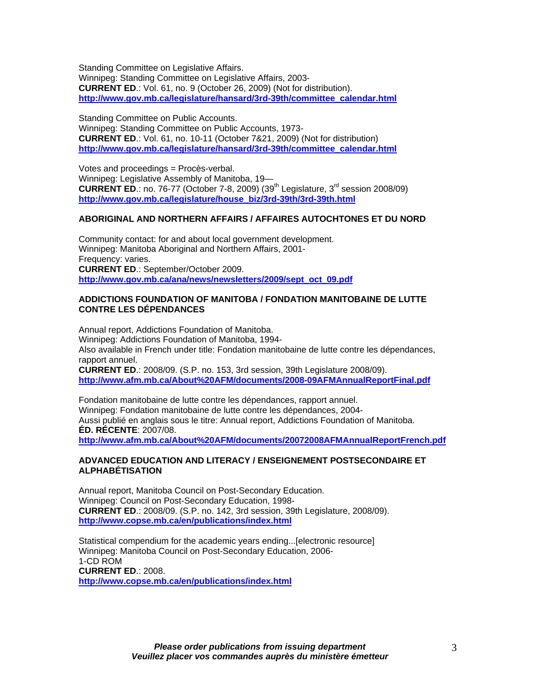Standing Committee on Legislative Affairs.

Winnipeg: Standing Committee on Legislative Affairs, 2003- **CURRENT ED**.: Vol. 61, no. 9 (October 26, 2009) (Not for distribution). **[http://www.gov.mb.ca/legislature/hansard/3rd-39th/committee\\_calendar.html](https://www.gov.mb.ca/legislature/hansard/3rd-39th/committee_calendar.html)**

Standing Committee on Public Accounts. Winnipeg: Standing Committee on Public Accounts, 1973- **CURRENT ED**.: Vol. 61, no. 10-11 (October 7&21, 2009) (Not for distribution) **[http://www.gov.mb.ca/legislature/hansard/3rd-39th/committee\\_calendar.html](https://www.gov.mb.ca/legislature/hansard/3rd-39th/committee_calendar.html)**

Votes and proceedings = Procès-verbal. Winnipeg: Legislative Assembly of Manitoba, 19— **CURRENT ED.:** no. 76-77 (October 7-8, 2009) (39<sup>th</sup> Legislature, 3<sup>rd</sup> session 2008/09) **[http://www.gov.mb.ca/legislature/house\\_biz/3rd-39th/3rd-39th.html](https://www.gov.mb.ca/legislature/house_biz/3rd-39th/3rd-39th.html)**

# **ABORIGINAL AND NORTHERN AFFAIRS / AFFAIRES AUTOCHTONES ET DU NORD**

Community contact: for and about local government development. Winnipeg: Manitoba Aboriginal and Northern Affairs, 2001- Frequency: varies. **CURRENT ED**.: September/October 2009. **[http://www.gov.mb.ca/ana/news/newsletters/2009/sept\\_oct\\_09.pdf](https://www.gov.mb.ca/ana/news/newsletters/2009/sept_oct_09.pdf)** 

#### **ADDICTIONS FOUNDATION OF MANITOBA / FONDATION MANITOBAINE DE LUTTE CONTRE LES DÉPENDANCES**

Annual report, Addictions Foundation of Manitoba. Winnipeg: Addictions Foundation of Manitoba, 1994- Also available in French under title: Fondation manitobaine de lutte contre les dépendances, rapport annuel. **CURRENT ED**.: 2008/09. (S.P. no. 153, 3rd session, 39th Legislature 2008/09).

**<http://www.afm.mb.ca/About%20AFM/documents/2008-09AFMAnnualReportFinal.pdf>**

Fondation manitobaine de lutte contre les dépendances, rapport annuel. Winnipeg: Fondation manitobaine de lutte contre les dépendances, 2004- Aussi publié en anglais sous le titre: Annual report, Addictions Foundation of Manitoba. **ÉD. RÉCENTE**: 2007/08.

**<http://www.afm.mb.ca/About%20AFM/documents/20072008AFMAnnualReportFrench.pdf>** 

# **ADVANCED EDUCATION AND LITERACY / ENSEIGNEMENT POSTSECONDAIRE ET ALPHABÉTISATION**

Annual report, Manitoba Council on Post-Secondary Education. Winnipeg: Council on Post-Secondary Education, 1998- **CURRENT ED**.: 2008/09. (S.P. no. 142, 3rd session, 39th Legislature, 2008/09). **<http://www.copse.mb.ca/en/publications/index.html>**

Statistical compendium for the academic years ending...[electronic resource] Winnipeg: Manitoba Council on Post-Secondary Education, 2006- 1-CD ROM **CURRENT ED**.: 2008. **<http://www.copse.mb.ca/en/publications/index.html>**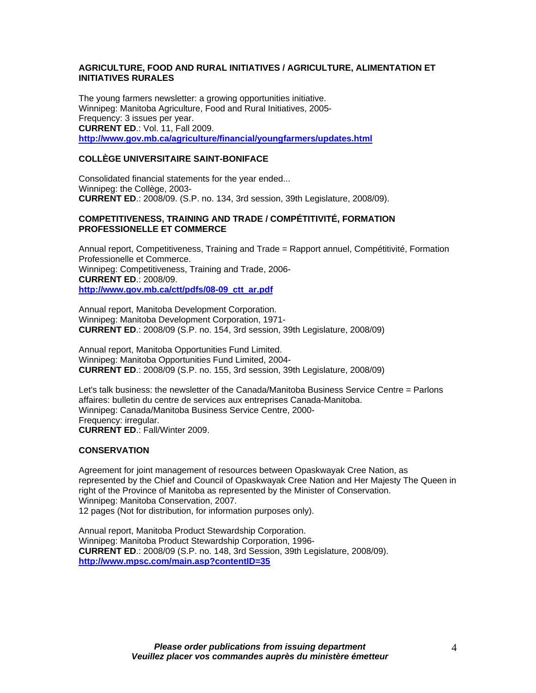# **AGRICULTURE, FOOD AND RURAL INITIATIVES / AGRICULTURE, ALIMENTATION ET INITIATIVES RURALES**

The young farmers newsletter: a growing opportunities initiative. Winnipeg: Manitoba Agriculture, Food and Rural Initiatives, 2005- Frequency: 3 issues per year. **CURRENT ED**.: Vol. 11, Fall 2009. **[http://www.gov.mb.ca/agriculture/financial/youngfarmers/updates.html](https://www.gov.mb.ca/agriculture/financial/youngfarmers/updates.html)**

# **COLLÈGE UNIVERSITAIRE SAINT-BONIFACE**

Consolidated financial statements for the year ended... Winnipeg: the Collège, 2003- **CURRENT ED**.: 2008/09. (S.P. no. 134, 3rd session, 39th Legislature, 2008/09).

## **COMPETITIVENESS, TRAINING AND TRADE / COMPÉTITIVITÉ, FORMATION PROFESSIONELLE ET COMMERCE**

Annual report, Competitiveness, Training and Trade = Rapport annuel, Compétitivité, Formation Professionelle et Commerce. Winnipeg: Competitiveness, Training and Trade, 2006- **CURRENT ED**.: 2008/09. **[http://www.gov.mb.ca/ctt/pdfs/08-09\\_ctt\\_ar.pdf](https://www.gov.mb.ca/ctt/pdfs/08-09_ctt_ar.pdf)**

Annual report, Manitoba Development Corporation. Winnipeg: Manitoba Development Corporation, 1971- **CURRENT ED**.: 2008/09 (S.P. no. 154, 3rd session, 39th Legislature, 2008/09)

Annual report, Manitoba Opportunities Fund Limited. Winnipeg: Manitoba Opportunities Fund Limited, 2004- **CURRENT ED**.: 2008/09 (S.P. no. 155, 3rd session, 39th Legislature, 2008/09)

Let's talk business: the newsletter of the Canada/Manitoba Business Service Centre = Parlons affaires: bulletin du centre de services aux entreprises Canada-Manitoba. Winnipeg: Canada/Manitoba Business Service Centre, 2000- Frequency: irregular. **CURRENT ED**.: Fall/Winter 2009.

# **CONSERVATION**

Agreement for joint management of resources between Opaskwayak Cree Nation, as represented by the Chief and Council of Opaskwayak Cree Nation and Her Majesty The Queen in right of the Province of Manitoba as represented by the Minister of Conservation. Winnipeg: Manitoba Conservation, 2007. 12 pages (Not for distribution, for information purposes only).

Annual report, Manitoba Product Stewardship Corporation. Winnipeg: Manitoba Product Stewardship Corporation, 1996- **CURRENT ED**.: 2008/09 (S.P. no. 148, 3rd Session, 39th Legislature, 2008/09). **<http://www.mpsc.com/main.asp?contentID=35>**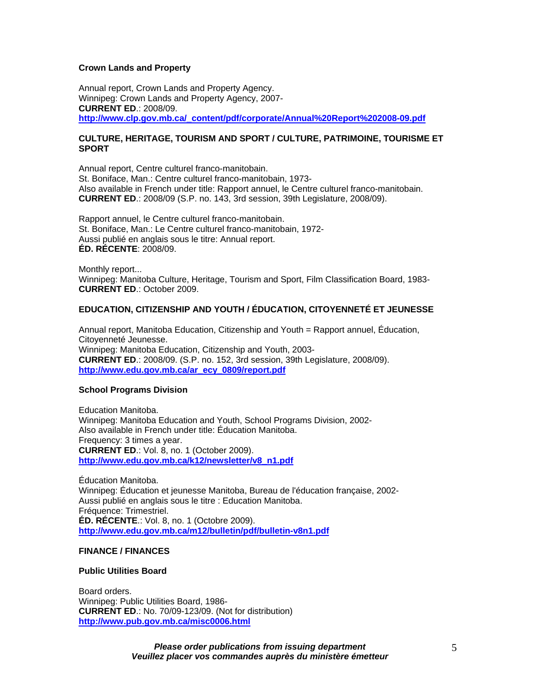## **Crown Lands and Property**

Annual report, Crown Lands and Property Agency. Winnipeg: Crown Lands and Property Agency, 2007- **CURRENT ED**.: 2008/09. **[http://www.clp.gov.mb.ca/\\_content/pdf/corporate/Annual%20Report%202008-09.pdf](http://www.clp.gov.mb.ca/_content/pdf/corporate/Annual%20Report%202008-09.pdf)** 

## **CULTURE, HERITAGE, TOURISM AND SPORT / CULTURE, PATRIMOINE, TOURISME ET SPORT**

Annual report, Centre culturel franco-manitobain. St. Boniface, Man.: Centre culturel franco-manitobain, 1973- Also available in French under title: Rapport annuel, le Centre culturel franco-manitobain. **CURRENT ED**.: 2008/09 (S.P. no. 143, 3rd session, 39th Legislature, 2008/09).

Rapport annuel, le Centre culturel franco-manitobain. St. Boniface, Man.: Le Centre culturel franco-manitobain, 1972- Aussi publié en anglais sous le titre: Annual report. **ÉD. RÉCENTE**: 2008/09.

Monthly report... Winnipeg: Manitoba Culture, Heritage, Tourism and Sport, Film Classification Board, 1983- **CURRENT ED**.: October 2009.

# **EDUCATION, CITIZENSHIP AND YOUTH / ÉDUCATION, CITOYENNETÉ ET JEUNESSE**

Annual report, Manitoba Education, Citizenship and Youth = Rapport annuel, Éducation, Citoyenneté Jeunesse. Winnipeg: Manitoba Education, Citizenship and Youth, 2003- **CURRENT ED**.: 2008/09. (S.P. no. 152, 3rd session, 39th Legislature, 2008/09). **[http://www.edu.gov.mb.ca/ar\\_ecy\\_0809/report.pdf](http://www.edu.gov.mb.ca/ar_ecy_0809/report.pdf)**

#### **School Programs Division**

Education Manitoba. Winnipeg: Manitoba Education and Youth, School Programs Division, 2002- Also available in French under title: Éducation Manitoba. Frequency: 3 times a year. **CURRENT ED**.: Vol. 8, no. 1 (October 2009). **[http://www.edu.gov.mb.ca/k12/newsletter/v8\\_n1.pdf](http://www.edu.gov.mb.ca/k12/newsletter/v8_n1.pdf)** 

Éducation Manitoba. Winnipeg: Éducation et jeunesse Manitoba, Bureau de l'éducation française, 2002- Aussi publié en anglais sous le titre : Education Manitoba. Fréquence: Trimestriel. **ÉD. RÉCENTE**.: Vol. 8, no. 1 (Octobre 2009). **<http://www.edu.gov.mb.ca/m12/bulletin/pdf/bulletin-v8n1.pdf>** 

## **FINANCE / FINANCES**

#### **Public Utilities Board**

Board orders. Winnipeg: Public Utilities Board, 1986- **CURRENT ED**.: No. 70/09-123/09. (Not for distribution) **<http://www.pub.gov.mb.ca/misc0006.html>**

> *Please order publications from issuing department Veuillez placer vos commandes auprès du ministère émetteur*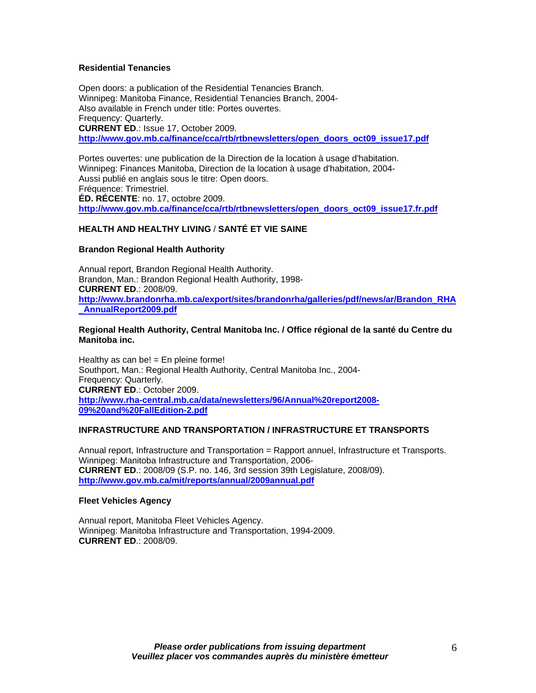# **Residential Tenancies**

Open doors: a publication of the Residential Tenancies Branch. Winnipeg: Manitoba Finance, Residential Tenancies Branch, 2004- Also available in French under title: Portes ouvertes. Frequency: Quarterly. **CURRENT ED**.: Issue 17, October 2009. **[http://www.gov.mb.ca/finance/cca/rtb/rtbnewsletters/open\\_doors\\_oct09\\_issue17.pdf](https://www.gov.mb.ca/finance/cca/rtb/rtbnewsletters/open_doors_oct09_issue17.pdf)** 

Portes ouvertes: une publication de la Direction de la location à usage d'habitation. Winnipeg: Finances Manitoba, Direction de la location à usage d'habitation, 2004- Aussi publié en anglais sous le titre: Open doors. Fréquence: Trimestriel. **ÉD. RÉCENTE**: no. 17, octobre 2009. **[http://www.gov.mb.ca/finance/cca/rtb/rtbnewsletters/open\\_doors\\_oct09\\_issue17.fr.pdf](https://www.gov.mb.ca/finance/cca/rtb/rtbnewsletters/open_doors_oct09_issue17.fr.pdf)**

# **HEALTH AND HEALTHY LIVING** / **SANTÉ ET VIE SAINE**

# **Brandon Regional Health Authority**

Annual report, Brandon Regional Health Authority. Brandon, Man.: Brandon Regional Health Authority, 1998- **CURRENT ED**.: 2008/09. **[http://www.brandonrha.mb.ca/export/sites/brandonrha/galleries/pdf/news/ar/Brandon\\_RHA](http://www.brandonrha.mb.ca/export/sites/brandonrha/galleries/pdf/news/ar/Brandon_RHA_AnnualReport2009.pdf) [\\_AnnualReport2009.pdf](http://www.brandonrha.mb.ca/export/sites/brandonrha/galleries/pdf/news/ar/Brandon_RHA_AnnualReport2009.pdf)**

#### **Regional Health Authority, Central Manitoba Inc. / Office régional de la santé du Centre du Manitoba inc.**

Healthy as can be! = En pleine forme! Southport, Man.: Regional Health Authority, Central Manitoba Inc., 2004- Frequency: Quarterly. **CURRENT ED**.: October 2009. **[http://www.rha-central.mb.ca/data/newsletters/96/Annual%20report2008-](http://www.rha-central.mb.ca/data/newsletters/96/Annual%20report2008-09%20and%20FallEdition-2.pdf) [09%20and%20FallEdition-2.pdf](http://www.rha-central.mb.ca/data/newsletters/96/Annual%20report2008-09%20and%20FallEdition-2.pdf)**

# **INFRASTRUCTURE AND TRANSPORTATION / INFRASTRUCTURE ET TRANSPORTS**

Annual report, Infrastructure and Transportation = Rapport annuel, Infrastructure et Transports. Winnipeg: Manitoba Infrastructure and Transportation, 2006- **CURRENT ED**.: 2008/09 (S.P. no. 146, 3rd session 39th Legislature, 2008/09). **[http://www.gov.mb.ca/mit/reports/annual/2009annual.pdf](https://www.gov.mb.ca/mit/reports/annual/2009annual.pdf)** 

#### **Fleet Vehicles Agency**

Annual report, Manitoba Fleet Vehicles Agency. Winnipeg: Manitoba Infrastructure and Transportation, 1994-2009. **CURRENT ED**.: 2008/09.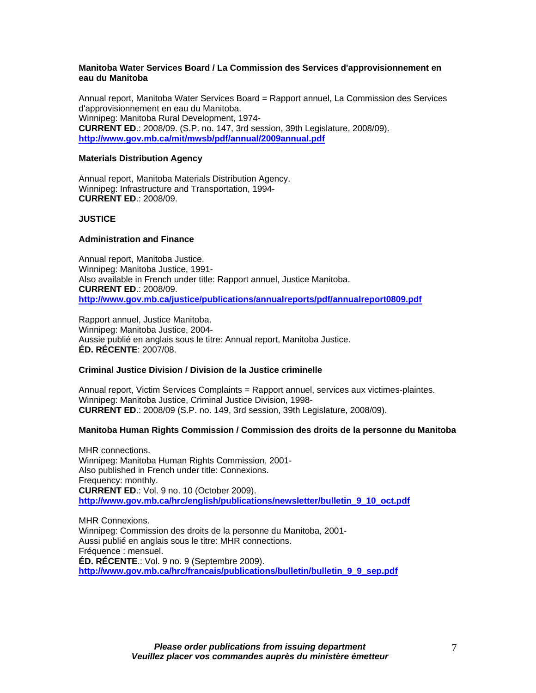## **Manitoba Water Services Board / La Commission des Services d'approvisionnement en eau du Manitoba**

Annual report, Manitoba Water Services Board = Rapport annuel, La Commission des Services d'approvisionnement en eau du Manitoba. Winnipeg: Manitoba Rural Development, 1974- **CURRENT ED**.: 2008/09. (S.P. no. 147, 3rd session, 39th Legislature, 2008/09). **[http://www.gov.mb.ca/mit/mwsb/pdf/annual/2009annual.pdf](https://www.gov.mb.ca/mit/mwsb/pdf/annual/2009annual.pdf)** 

## **Materials Distribution Agency**

Annual report, Manitoba Materials Distribution Agency. Winnipeg: Infrastructure and Transportation, 1994- **CURRENT ED**.: 2008/09.

# **JUSTICE**

# **Administration and Finance**

Annual report, Manitoba Justice. Winnipeg: Manitoba Justice, 1991- Also available in French under title: Rapport annuel, Justice Manitoba. **CURRENT ED**.: 2008/09. **[http://www.gov.mb.ca/justice/publications/annualreports/pdf/annualreport0809.pdf](https://www.gov.mb.ca/justice/publications/annualreports/pdf/annualreport0809.pdf)** 

Rapport annuel, Justice Manitoba. Winnipeg: Manitoba Justice, 2004- Aussie publié en anglais sous le titre: Annual report, Manitoba Justice. **ÉD. RÉCENTE**: 2007/08.

#### **Criminal Justice Division / Division de la Justice criminelle**

Annual report, Victim Services Complaints = Rapport annuel, services aux victimes-plaintes. Winnipeg: Manitoba Justice, Criminal Justice Division, 1998- **CURRENT ED**.: 2008/09 (S.P. no. 149, 3rd session, 39th Legislature, 2008/09).

# **Manitoba Human Rights Commission / Commission des droits de la personne du Manitoba**

MHR connections. Winnipeg: Manitoba Human Rights Commission, 2001- Also published in French under title: Connexions. Frequency: monthly. **CURRENT ED**.: Vol. 9 no. 10 (October 2009). **[http://www.gov.mb.ca/hrc/english/publications/newsletter/bulletin\\_9\\_10\\_oct.pdf](https://www.gov.mb.ca/hrc/english/publications/newsletter/bulletin_9_10_oct.pdf)**

MHR Connexions. Winnipeg: Commission des droits de la personne du Manitoba, 2001- Aussi publié en anglais sous le titre: MHR connections. Fréquence : mensuel. **ÉD. RÉCENTE**.: Vol. 9 no. 9 (Septembre 2009). **[http://www.gov.mb.ca/hrc/francais/publications/bulletin/bulletin\\_9\\_9\\_sep.pdf](https://www.gov.mb.ca/hrc/francais/publications/bulletin/bulletin_9_9_sep.pdf)**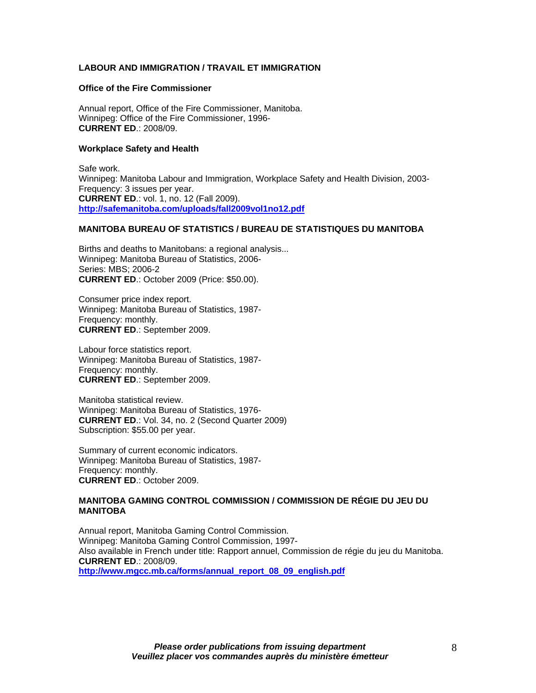# **LABOUR AND IMMIGRATION / TRAVAIL ET IMMIGRATION**

#### **Office of the Fire Commissioner**

Annual report, Office of the Fire Commissioner, Manitoba. Winnipeg: Office of the Fire Commissioner, 1996- **CURRENT ED**.: 2008/09.

#### **Workplace Safety and Health**

Safe work. Winnipeg: Manitoba Labour and Immigration, Workplace Safety and Health Division, 2003- Frequency: 3 issues per year. **CURRENT ED**.: vol. 1, no. 12 (Fall 2009). **<http://safemanitoba.com/uploads/fall2009vol1no12.pdf>**

#### **MANITOBA BUREAU OF STATISTICS / BUREAU DE STATISTIQUES DU MANITOBA**

Births and deaths to Manitobans: a regional analysis... Winnipeg: Manitoba Bureau of Statistics, 2006- Series: MBS; 2006-2 **CURRENT ED**.: October 2009 (Price: \$50.00).

Consumer price index report. Winnipeg: Manitoba Bureau of Statistics, 1987- Frequency: monthly. **CURRENT ED**.: September 2009.

Labour force statistics report. Winnipeg: Manitoba Bureau of Statistics, 1987- Frequency: monthly. **CURRENT ED**.: September 2009.

Manitoba statistical review. Winnipeg: Manitoba Bureau of Statistics, 1976- **CURRENT ED**.: Vol. 34, no. 2 (Second Quarter 2009) Subscription: \$55.00 per year.

Summary of current economic indicators. Winnipeg: Manitoba Bureau of Statistics, 1987- Frequency: monthly. **CURRENT ED**.: October 2009.

#### **MANITOBA GAMING CONTROL COMMISSION / COMMISSION DE RÉGIE DU JEU DU MANITOBA**

Annual report, Manitoba Gaming Control Commission. Winnipeg: Manitoba Gaming Control Commission, 1997- Also available in French under title: Rapport annuel, Commission de régie du jeu du Manitoba. **CURRENT ED**.: 2008/09. **[http://www.mgcc.mb.ca/forms/annual\\_report\\_08\\_09\\_english.pdf](http://www.mgcc.mb.ca/forms/annual_report_08_09_english.pdf)**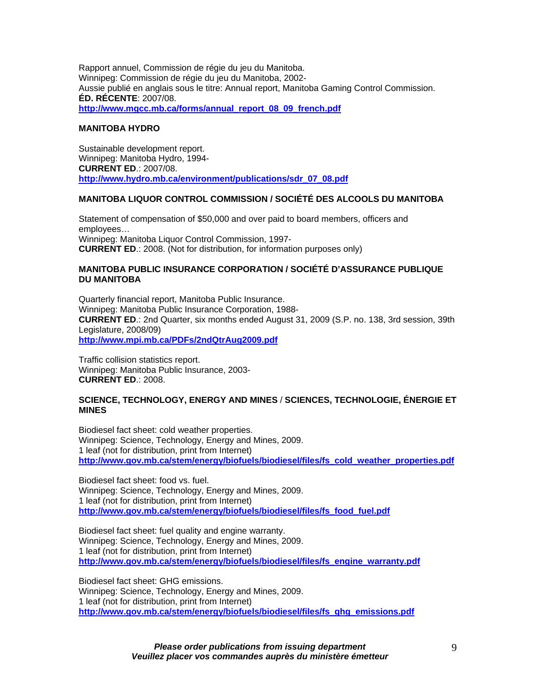Rapport annuel, Commission de régie du jeu du Manitoba. Winnipeg: Commission de régie du jeu du Manitoba, 2002- Aussie publié en anglais sous le titre: Annual report, Manitoba Gaming Control Commission. **ÉD. RÉCENTE**: 2007/08. **[http://www.mgcc.mb.ca/forms/annual\\_report\\_08\\_09\\_french.pdf](http://www.mgcc.mb.ca/forms/annual_report_08_09_french.pdf)** 

# **MANITOBA HYDRO**

Sustainable development report. Winnipeg: Manitoba Hydro, 1994- **CURRENT ED**.: 2007/08. **[http://www.hydro.mb.ca/environment/publications/sdr\\_07\\_08.pdf](http://www.hydro.mb.ca/environment/publications/sdr_07_08.pdf)** 

# **MANITOBA LIQUOR CONTROL COMMISSION / SOCIÉTÉ DES ALCOOLS DU MANITOBA**

Statement of compensation of \$50,000 and over paid to board members, officers and employees… Winnipeg: Manitoba Liquor Control Commission, 1997- **CURRENT ED**.: 2008. (Not for distribution, for information purposes only)

## **MANITOBA PUBLIC INSURANCE CORPORATION / SOCIÉTÉ D'ASSURANCE PUBLIQUE DU MANITOBA**

Quarterly financial report, Manitoba Public Insurance. Winnipeg: Manitoba Public Insurance Corporation, 1988- **CURRENT ED**.: 2nd Quarter, six months ended August 31, 2009 (S.P. no. 138, 3rd session, 39th Legislature, 2008/09) **<http://www.mpi.mb.ca/PDFs/2ndQtrAug2009.pdf>** 

Traffic collision statistics report. Winnipeg: Manitoba Public Insurance, 2003- **CURRENT ED**.: 2008.

# **SCIENCE, TECHNOLOGY, ENERGY AND MINES** / **SCIENCES, TECHNOLOGIE, ÉNERGIE ET MINES**

Biodiesel fact sheet: cold weather properties. Winnipeg: Science, Technology, Energy and Mines, 2009. 1 leaf (not for distribution, print from Internet) **[http://www.gov.mb.ca/stem/energy/biofuels/biodiesel/files/fs\\_cold\\_weather\\_properties.pdf](https://www.gov.mb.ca/stem/energy/biofuels/biodiesel/files/fs_cold_weather_properties.pdf)**

Biodiesel fact sheet: food vs. fuel. Winnipeg: Science, Technology, Energy and Mines, 2009. 1 leaf (not for distribution, print from Internet) **[http://www.gov.mb.ca/stem/energy/biofuels/biodiesel/files/fs\\_food\\_fuel.pdf](https://www.gov.mb.ca/stem/energy/biofuels/biodiesel/files/fs_food_fuel.pdf)**

Biodiesel fact sheet: fuel quality and engine warranty. Winnipeg: Science, Technology, Energy and Mines, 2009. 1 leaf (not for distribution, print from Internet) **[http://www.gov.mb.ca/stem/energy/biofuels/biodiesel/files/fs\\_engine\\_warranty.pdf](https://www.gov.mb.ca/stem/energy/biofuels/biodiesel/files/fs_engine_warranty.pdf)**

Biodiesel fact sheet: GHG emissions. Winnipeg: Science, Technology, Energy and Mines, 2009. 1 leaf (not for distribution, print from Internet) **[http://www.gov.mb.ca/stem/energy/biofuels/biodiesel/files/fs\\_ghg\\_emissions.pdf](https://www.gov.mb.ca/stem/energy/biofuels/biodiesel/files/fs_ghg_emissions.pdf)**

> *Please order publications from issuing department Veuillez placer vos commandes auprès du ministère émetteur*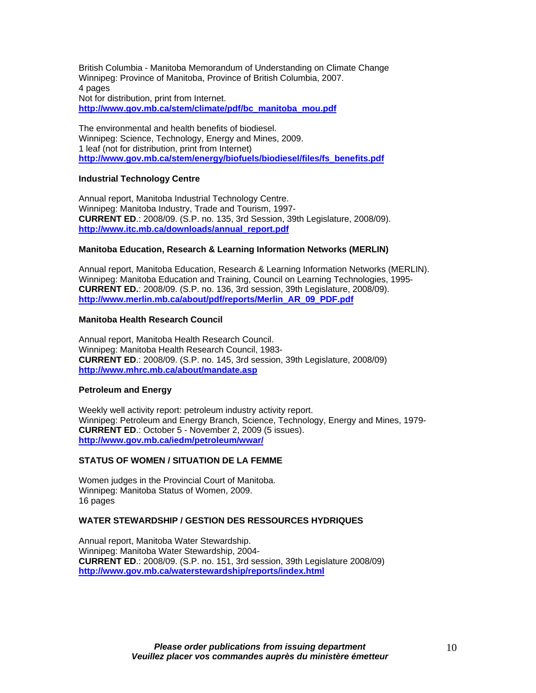British Columbia - Manitoba Memorandum of Understanding on Climate Change Winnipeg: Province of Manitoba, Province of British Columbia, 2007. 4 pages Not for distribution, print from Internet. **[http://www.gov.mb.ca/stem/climate/pdf/bc\\_manitoba\\_mou.pdf](https://www.gov.mb.ca/stem/climate/pdf/bc_manitoba_mou.pdf)**

The environmental and health benefits of biodiesel. Winnipeg: Science, Technology, Energy and Mines, 2009. 1 leaf (not for distribution, print from Internet) **[http://www.gov.mb.ca/stem/energy/biofuels/biodiesel/files/fs\\_benefits.pdf](https://www.gov.mb.ca/stem/energy/biofuels/biodiesel/files/fs_benefits.pdf)**

# **Industrial Technology Centre**

Annual report, Manitoba Industrial Technology Centre. Winnipeg: Manitoba Industry, Trade and Tourism, 1997- **CURRENT ED**.: 2008/09. (S.P. no. 135, 3rd Session, 39th Legislature, 2008/09). **[http://www.itc.mb.ca/downloads/annual\\_report.pdf](http://www.itc.mb.ca/downloads/annual_report.pdf)**

# **Manitoba Education, Research & Learning Information Networks (MERLIN)**

Annual report, Manitoba Education, Research & Learning Information Networks (MERLIN). Winnipeg: Manitoba Education and Training, Council on Learning Technologies, 1995- **CURRENT ED.**: 2008/09. (S.P. no. 136, 3rd session, 39th Legislature, 2008/09). **[http://www.merlin.mb.ca/about/pdf/reports/Merlin\\_AR\\_09\\_PDF.pdf](http://www.merlin.mb.ca/about/pdf/reports/Merlin_AR_09_PDF.pdf)** 

# **Manitoba Health Research Council**

Annual report, Manitoba Health Research Council. Winnipeg: Manitoba Health Research Council, 1983- **CURRENT ED**.: 2008/09. (S.P. no. 145, 3rd session, 39th Legislature, 2008/09) **<http://www.mhrc.mb.ca/about/mandate.asp>**

# **Petroleum and Energy**

Weekly well activity report: petroleum industry activity report. Winnipeg: Petroleum and Energy Branch, Science, Technology, Energy and Mines, 1979- **CURRENT ED**.: October 5 - November 2, 2009 (5 issues). **[http://www.gov.mb.ca/iedm/petroleum/wwar/](https://www.gov.mb.ca/iedm/petroleum/wwar/)**

# **STATUS OF WOMEN / SITUATION DE LA FEMME**

Women judges in the Provincial Court of Manitoba. Winnipeg: Manitoba Status of Women, 2009. 16 pages

## **WATER STEWARDSHIP / GESTION DES RESSOURCES HYDRIQUES**

Annual report, Manitoba Water Stewardship. Winnipeg: Manitoba Water Stewardship, 2004- **CURRENT ED**.: 2008/09. (S.P. no. 151, 3rd session, 39th Legislature 2008/09) **[http://www.gov.mb.ca/waterstewardship/reports/index.html](https://www.gov.mb.ca/waterstewardship/reports/index.html)**